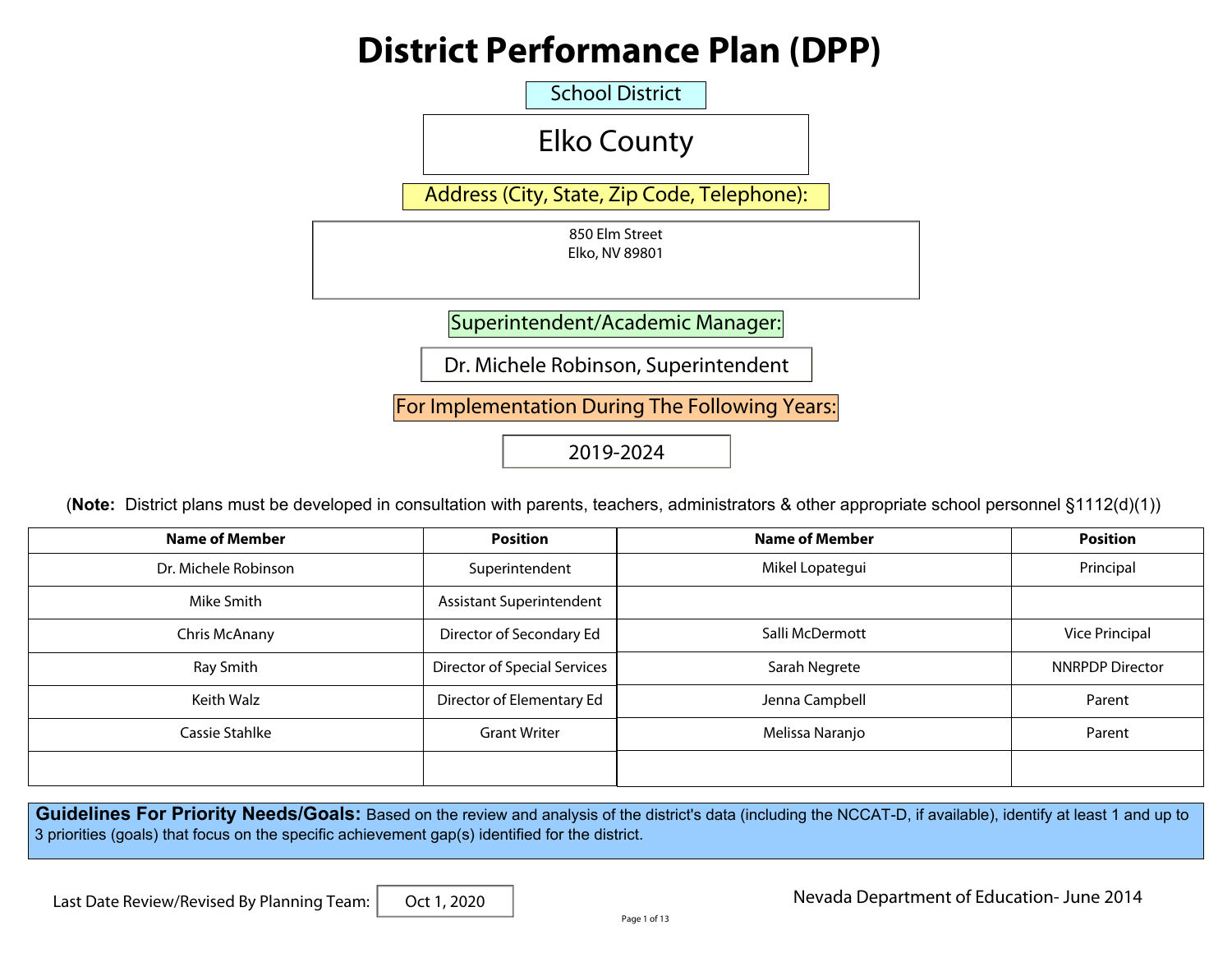# **District Performance Plan (DPP)**

School District

|                                                                                                                                                                                                                                                                      | <b>Elko County</b>                             |                       |                        |
|----------------------------------------------------------------------------------------------------------------------------------------------------------------------------------------------------------------------------------------------------------------------|------------------------------------------------|-----------------------|------------------------|
|                                                                                                                                                                                                                                                                      | Address (City, State, Zip Code, Telephone):    |                       |                        |
|                                                                                                                                                                                                                                                                      | 850 Elm Street<br>Elko, NV 89801               |                       |                        |
|                                                                                                                                                                                                                                                                      | Superintendent/Academic Manager:               |                       |                        |
|                                                                                                                                                                                                                                                                      | Dr. Michele Robinson, Superintendent           |                       |                        |
|                                                                                                                                                                                                                                                                      | For Implementation During The Following Years: |                       |                        |
|                                                                                                                                                                                                                                                                      | 2019-2024                                      |                       |                        |
| (Note: District plans must be developed in consultation with parents, teachers, administrators & other appropriate school personnel §1112(d)(1))                                                                                                                     |                                                |                       |                        |
| <b>Name of Member</b>                                                                                                                                                                                                                                                | <b>Position</b>                                | <b>Name of Member</b> |                        |
|                                                                                                                                                                                                                                                                      |                                                |                       | <b>Position</b>        |
| Dr. Michele Robinson                                                                                                                                                                                                                                                 | Superintendent                                 | Mikel Lopategui       | Principal              |
| Mike Smith                                                                                                                                                                                                                                                           | Assistant Superintendent                       |                       |                        |
| Chris McAnany                                                                                                                                                                                                                                                        | Director of Secondary Ed                       | Salli McDermott       | <b>Vice Principal</b>  |
| Ray Smith                                                                                                                                                                                                                                                            | <b>Director of Special Services</b>            | Sarah Negrete         | <b>NNRPDP Director</b> |
| Keith Walz                                                                                                                                                                                                                                                           | Director of Elementary Ed                      | Jenna Campbell        | Parent                 |
| Cassie Stahlke                                                                                                                                                                                                                                                       | <b>Grant Writer</b>                            | Melissa Naranjo       | Parent                 |
|                                                                                                                                                                                                                                                                      |                                                |                       |                        |
| Guidelines For Priority Needs/Goals: Based on the review and analysis of the district's data (including the NCCAT-D, if available), identify at least 1 and up to<br>3 priorities (goals) that focus on the specific achievement gap(s) identified for the district. |                                                |                       |                        |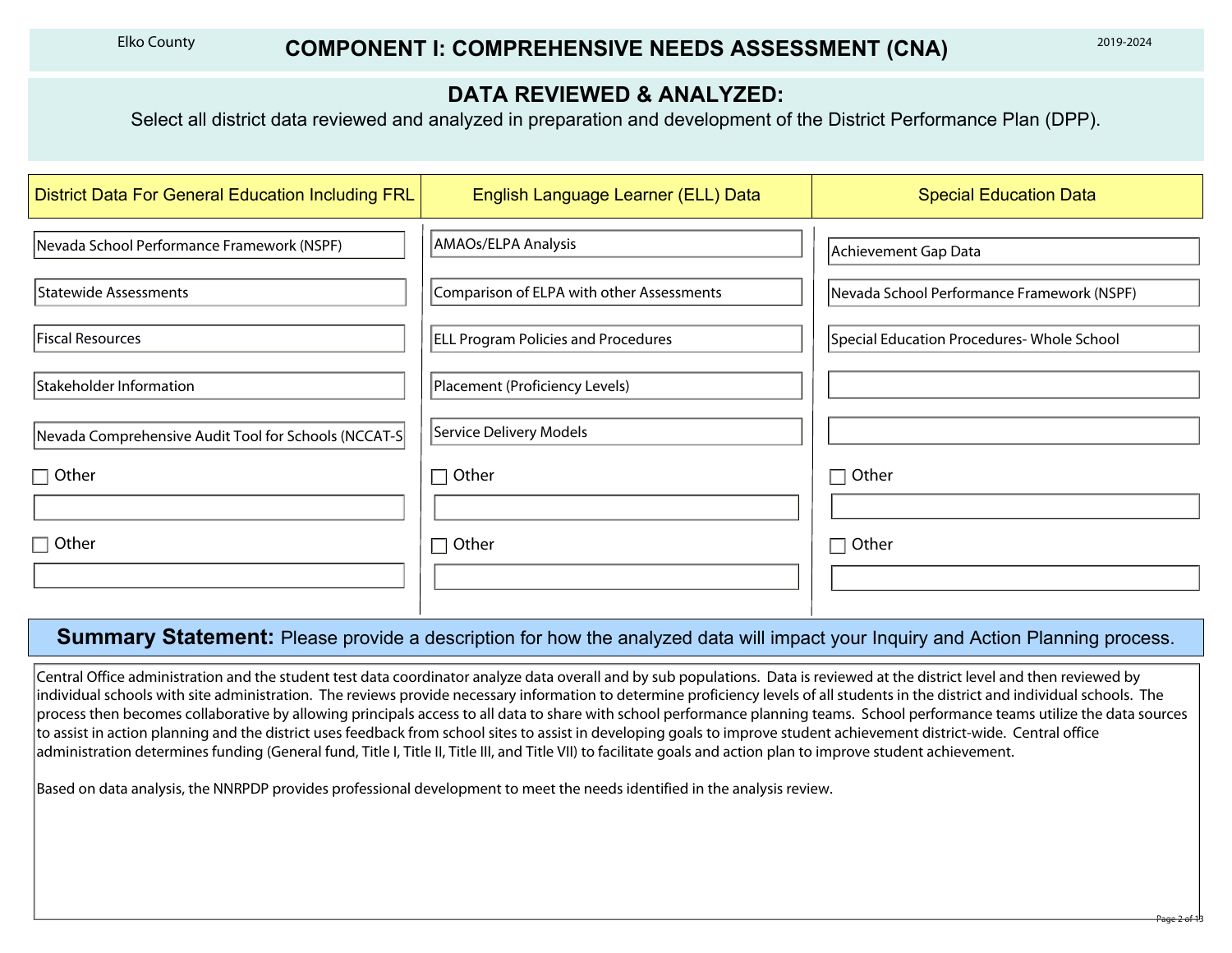### **DATA REVIEWED & ANALYZED:**

| <b>Elko County</b>                                                                                                                                            | <b>COMPONENT I: COMPREHENSIVE NEEDS ASSESSMENT (CNA)</b>                     | 2019-2024                                                                                                                                                                                                                                                                                                                                                                                                                                                                                                                                                                            |  |  |  |  |  |
|---------------------------------------------------------------------------------------------------------------------------------------------------------------|------------------------------------------------------------------------------|--------------------------------------------------------------------------------------------------------------------------------------------------------------------------------------------------------------------------------------------------------------------------------------------------------------------------------------------------------------------------------------------------------------------------------------------------------------------------------------------------------------------------------------------------------------------------------------|--|--|--|--|--|
| <b>DATA REVIEWED &amp; ANALYZED:</b><br>Select all district data reviewed and analyzed in preparation and development of the District Performance Plan (DPP). |                                                                              |                                                                                                                                                                                                                                                                                                                                                                                                                                                                                                                                                                                      |  |  |  |  |  |
| <b>District Data For General Education Including FRL</b>                                                                                                      | English Language Learner (ELL) Data                                          | <b>Special Education Data</b>                                                                                                                                                                                                                                                                                                                                                                                                                                                                                                                                                        |  |  |  |  |  |
| Nevada School Performance Framework (NSPF)<br>Statewide Assessments                                                                                           | AMAOs/ELPA Analysis<br>Comparison of ELPA with other Assessments             | Achievement Gap Data<br>Nevada School Performance Framework (NSPF)                                                                                                                                                                                                                                                                                                                                                                                                                                                                                                                   |  |  |  |  |  |
| Fiscal Resources<br>Stakeholder Information                                                                                                                   | <b>ELL Program Policies and Procedures</b><br>Placement (Proficiency Levels) | Special Education Procedures- Whole School<br>$\vert \mathbf{v} \vert$                                                                                                                                                                                                                                                                                                                                                                                                                                                                                                               |  |  |  |  |  |
| Nevada Comprehensive Audit Tool for Schools (NCCAT-S<br>$\Box$ Other                                                                                          | Service Delivery Models<br>$\Box$ Other                                      | $\left  \right. \right. \left. \right. \left. \right. \left. \right. \left. \right. \left. \left. \right. \left. \left. \right. \left. \right. \left. \left. \right. \right. \left. \left. \right. \left. \right. \left. \left. \right. \right. \left. \left. \right. \left. \left. \right. \right. \left. \left. \right. \right. \left. \left. \right. \left. \right. \left. \right. \left. \left. \right. \right. \left. \left. \right. \right. \left. \left. \right. \right. \left. \left. \right. \left. \left. \right. \right. \left. \left. \right. \right. \$<br>$\Box$ Other |  |  |  |  |  |
| $\Box$ Other                                                                                                                                                  | $\Box$ Other                                                                 | $\Box$ Other                                                                                                                                                                                                                                                                                                                                                                                                                                                                                                                                                                         |  |  |  |  |  |

#### **Summary Statement:** Please provide a description for how the analyzed data will impact your Inquiry and Action Planning process.

Central Office administration and the student test data coordinator analyze data overall and by sub populations. Data is reviewed at the district level and then reviewed by individual schools with site administration. The reviews provide necessary information to determine proficiency levels of all students in the district and individual schools. The process then becomes collaborative by allowing principals access to all data to share with school performance planning teams. School performance teams utilize the data sources to assist in action planning and the district uses feedback from school sites to assist in developing goals to improve student achievement district-wide. Central office administration determines funding (General fund, Title I, Title II, Title III, and Title VII) to facilitate goals and action plan to improve student achievement.

Based on data analysis, the NNRPDP provides professional development to meet the needs identified in the analysis review.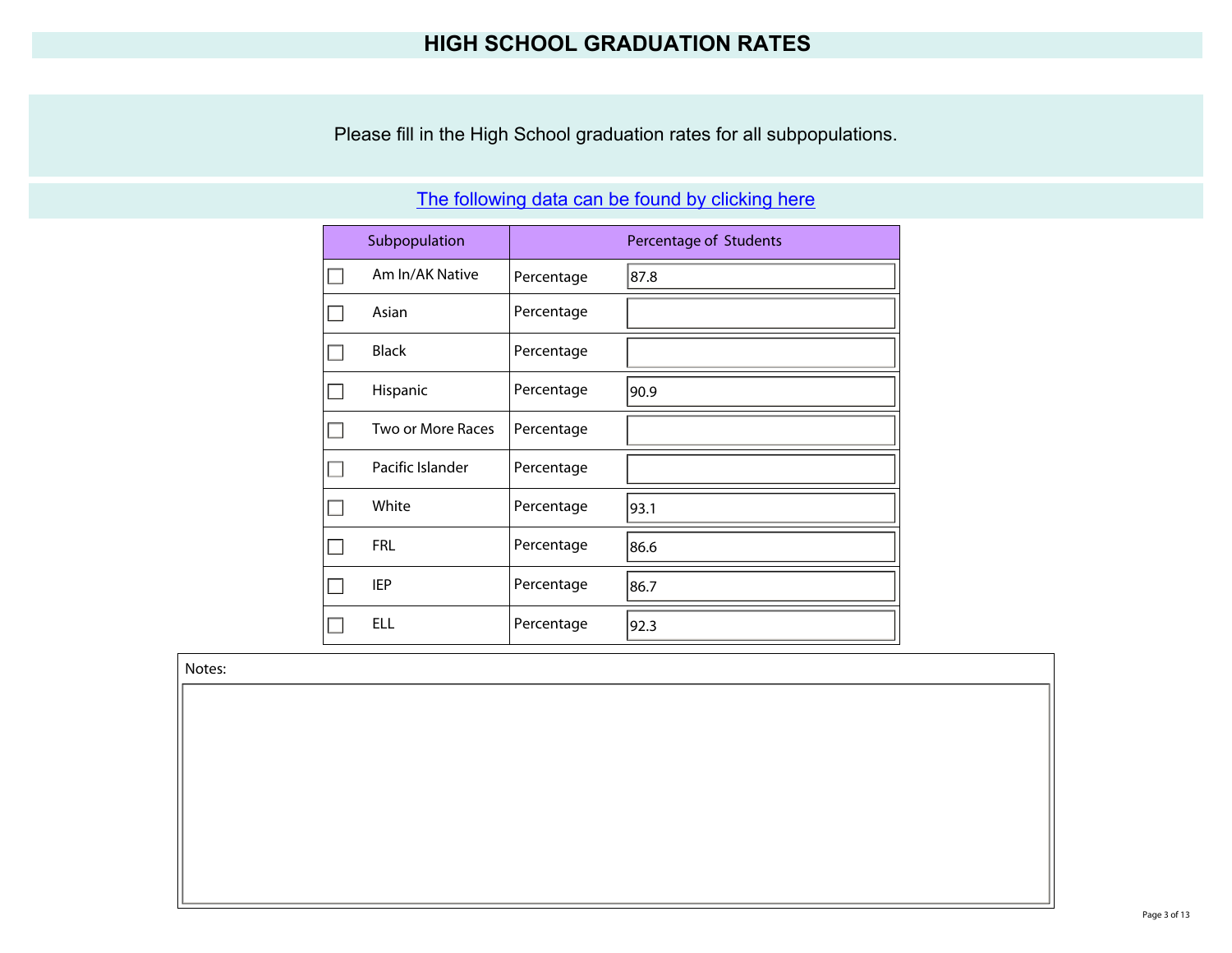### **HIGH SCHOOL GRADUATION RATES**

Please fill in the High School graduation rates for all subpopulations.

| Subpopulation     |            | Percentage of Students |
|-------------------|------------|------------------------|
| Am In/AK Native   | Percentage | 87.8                   |
| Asian             | Percentage |                        |
| <b>Black</b>      | Percentage |                        |
| Hispanic          | Percentage | 90.9                   |
| Two or More Races | Percentage |                        |
| Pacific Islander  | Percentage |                        |
| White             | Percentage | 93.1                   |
| <b>FRL</b>        | Percentage | 86.6                   |
| IEP               | Percentage | 86.7                   |
| ELL               | Percentage | 92.3                   |

### [The following data can be found by clicking here](http://www.nevadareportcard.com/di/main/cohort#di/main/cohort)

Notes: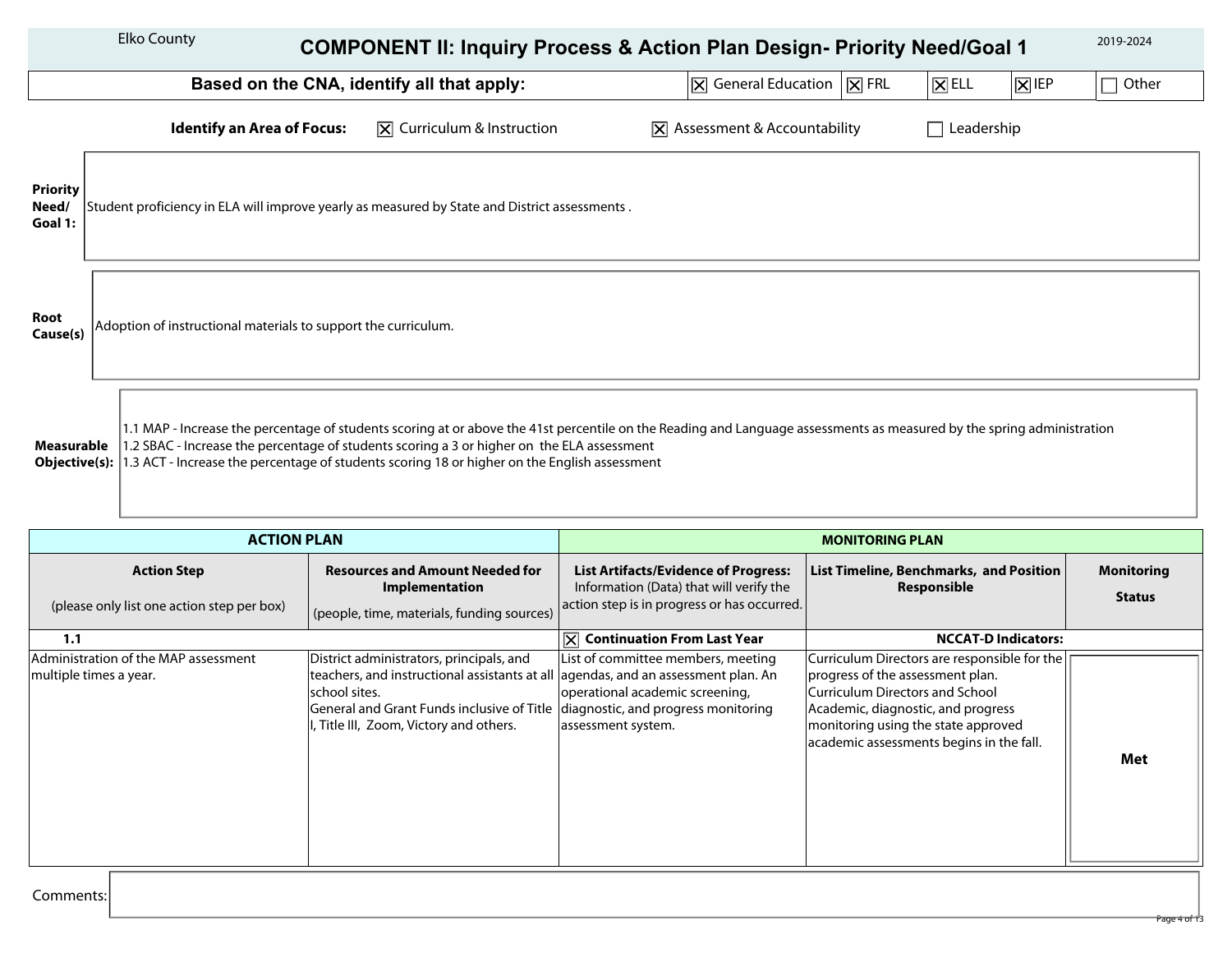|                                     | <b>Elko County</b>                                             |                                   | <b>COMPONENT II: Inquiry Process &amp; Action Plan Design- Priority Need/Goal 1</b>                                                                                                                                                                                                                                                                                  |                                                       |                                                         |                               |                      | 2019-2024  |
|-------------------------------------|----------------------------------------------------------------|-----------------------------------|----------------------------------------------------------------------------------------------------------------------------------------------------------------------------------------------------------------------------------------------------------------------------------------------------------------------------------------------------------------------|-------------------------------------------------------|---------------------------------------------------------|-------------------------------|----------------------|------------|
|                                     |                                                                |                                   | Based on the CNA, identify all that apply:                                                                                                                                                                                                                                                                                                                           |                                                       | $ \overline{X} $ General Education $ \overline{X} $ FRL | $\boxed{\mathsf{X}}$ ELL      | $ \overline{X} $ IEP | Other<br>П |
|                                     |                                                                | <b>Identify an Area of Focus:</b> | $ \overline{x} $ Curriculum & Instruction                                                                                                                                                                                                                                                                                                                            | $ \mathbf{\overline{X}} $ Assessment & Accountability |                                                         | Leadership<br><b>Contract</b> |                      |            |
| <b>Priority</b><br>Need/<br>Goal 1: |                                                                |                                   | Student proficiency in ELA will improve yearly as measured by State and District assessments.                                                                                                                                                                                                                                                                        |                                                       |                                                         |                               |                      |            |
| Root<br>Cause(s)                    | Adoption of instructional materials to support the curriculum. |                                   |                                                                                                                                                                                                                                                                                                                                                                      |                                                       |                                                         |                               |                      |            |
| Measurable<br>Objective(s):         |                                                                |                                   | 1.1 MAP - Increase the percentage of students scoring at or above the 41st percentile on the Reading and Language assessments as measured by the spring administration<br>1.2 SBAC - Increase the percentage of students scoring a 3 or higher on the ELA assessment<br>1.3 ACT - Increase the percentage of students scoring 18 or higher on the English assessment |                                                       |                                                         |                               |                      |            |

| <b>ACTION PLAN</b>                                               |                                                                                                                                                                                                                                                                             | <b>MONITORING PLAN</b>                                                                                                                |                                                                                                                                                                                                                                                     |                                    |
|------------------------------------------------------------------|-----------------------------------------------------------------------------------------------------------------------------------------------------------------------------------------------------------------------------------------------------------------------------|---------------------------------------------------------------------------------------------------------------------------------------|-----------------------------------------------------------------------------------------------------------------------------------------------------------------------------------------------------------------------------------------------------|------------------------------------|
| <b>Action Step</b><br>(please only list one action step per box) | <b>Resources and Amount Needed for</b><br>Implementation<br>(people, time, materials, funding sources)                                                                                                                                                                      | <b>List Artifacts/Evidence of Progress:</b><br>Information (Data) that will verify the<br>action step is in progress or has occurred. | List Timeline, Benchmarks, and Position<br><b>Responsible</b>                                                                                                                                                                                       | <b>Monitoring</b><br><b>Status</b> |
| 1.1                                                              |                                                                                                                                                                                                                                                                             | $ \overline{X} $ Continuation From Last Year                                                                                          | <b>NCCAT-D Indicators:</b>                                                                                                                                                                                                                          |                                    |
| Administration of the MAP assessment<br>multiple times a year.   | District administrators, principals, and<br>teachers, and instructional assistants at all agendas, and an assessment plan. An<br>school sites.<br>General and Grant Funds inclusive of Title diagnostic, and progress monitoring<br>I, Title III, Zoom, Victory and others. | List of committee members, meeting<br>operational academic screening,<br>assessment system.                                           | Curriculum Directors are responsible for the<br>progress of the assessment plan.<br><b>Curriculum Directors and School</b><br>Academic, diagnostic, and progress<br>monitoring using the state approved<br>academic assessments begins in the fall. | Met                                |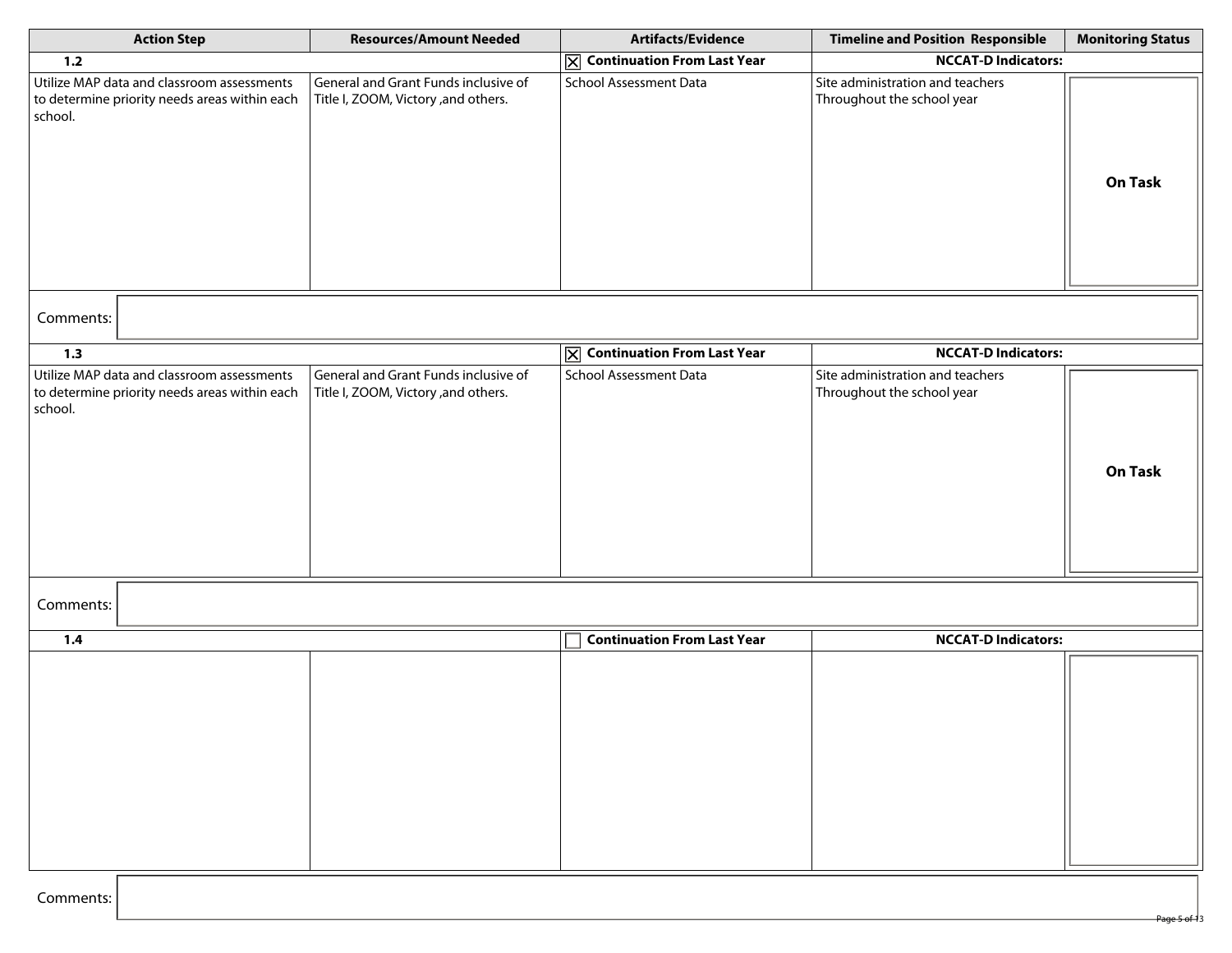| <b>Action Step</b>                                                                                     | <b>Resources/Amount Needed</b>                                               | Artifacts/Evidence                           | <b>Timeline and Position Responsible</b>                       | <b>Monitoring Status</b> |
|--------------------------------------------------------------------------------------------------------|------------------------------------------------------------------------------|----------------------------------------------|----------------------------------------------------------------|--------------------------|
| $1.2$                                                                                                  |                                                                              | $\overline{X}$ Continuation From Last Year   | <b>NCCAT-D Indicators:</b>                                     |                          |
| Utilize MAP data and classroom assessments<br>to determine priority needs areas within each<br>school. | General and Grant Funds inclusive of<br>Title I, ZOOM, Victory , and others. | School Assessment Data                       | Site administration and teachers<br>Throughout the school year | On Task                  |
| Comments:                                                                                              |                                                                              |                                              |                                                                |                          |
| 1.3                                                                                                    |                                                                              | $\boxed{\times}$ Continuation From Last Year | <b>NCCAT-D Indicators:</b>                                     |                          |
| Utilize MAP data and classroom assessments<br>to determine priority needs areas within each<br>school. | General and Grant Funds inclusive of<br>Title I, ZOOM, Victory , and others. | School Assessment Data                       | Site administration and teachers<br>Throughout the school year | <b>On Task</b>           |
| Comments:                                                                                              |                                                                              |                                              |                                                                |                          |
| 1.4                                                                                                    |                                                                              | <b>Continuation From Last Year</b>           | <b>NCCAT-D Indicators:</b>                                     |                          |
|                                                                                                        |                                                                              |                                              |                                                                |                          |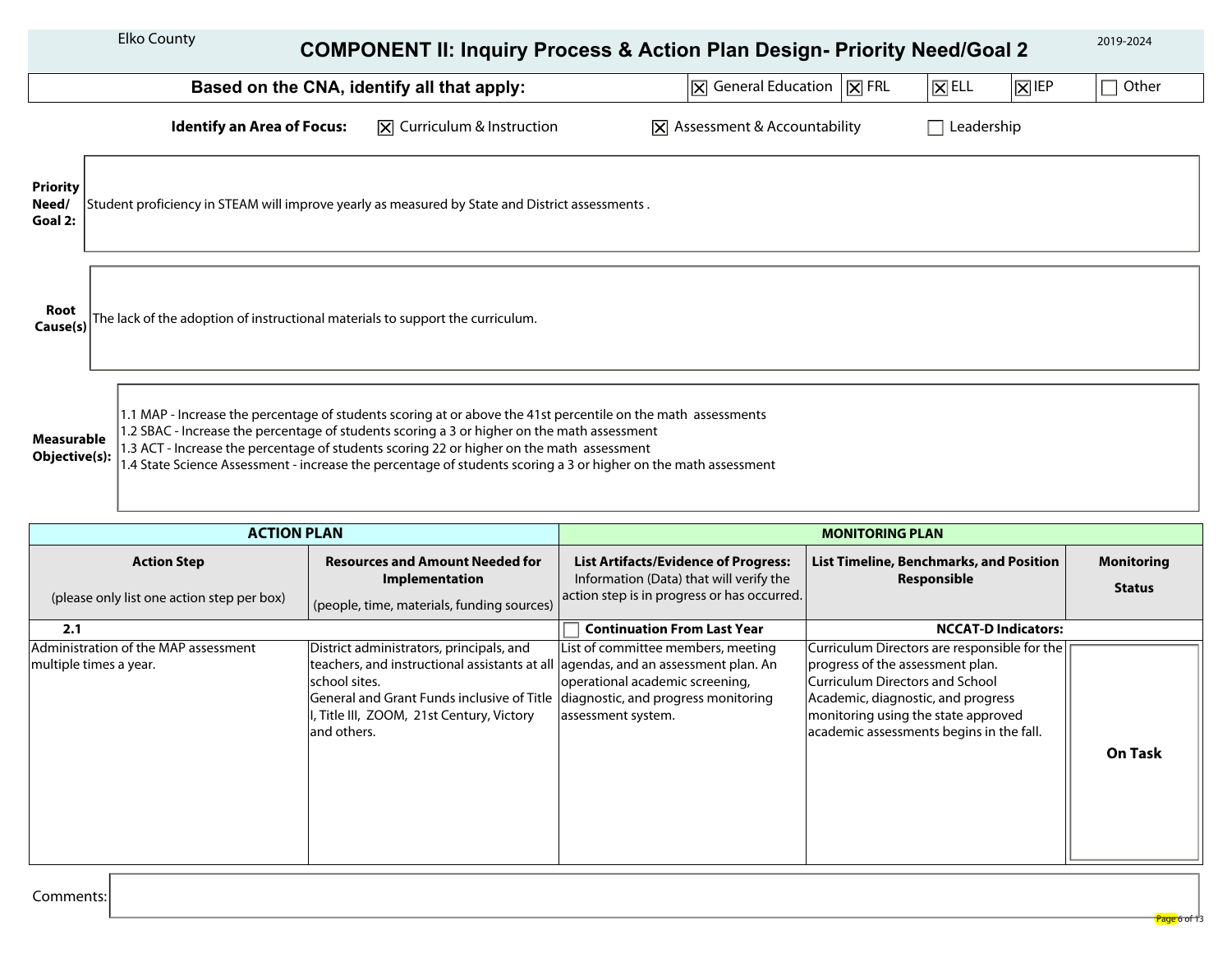|                                     | <b>Elko County</b>                                                             | <b>COMPONENT II: Inquiry Process &amp; Action Plan Design- Priority Need/Goal 2</b>                                                                                                                                                                                                                                                                                                                                          |                                                                                                     |                    |                      | 2019-2024 |
|-------------------------------------|--------------------------------------------------------------------------------|------------------------------------------------------------------------------------------------------------------------------------------------------------------------------------------------------------------------------------------------------------------------------------------------------------------------------------------------------------------------------------------------------------------------------|-----------------------------------------------------------------------------------------------------|--------------------|----------------------|-----------|
|                                     |                                                                                | Based on the CNA, identify all that apply:                                                                                                                                                                                                                                                                                                                                                                                   | $\vert\vert\overline{\mathsf{X}}\vert$ General Education $\vert\vert\overline{\mathsf{X}}\vert$ FRL | $ \mathsf{X} $ ELL | $ \overline{X} $ IEP | Other     |
|                                     | <b>Identify an Area of Focus:</b>                                              | $\vert\overline{\mathsf{X}}\vert$ Curriculum & Instruction                                                                                                                                                                                                                                                                                                                                                                   | $ \mathbf{\overline{X}} $ Assessment & Accountability                                               | Leadership         |                      |           |
| <b>Priority</b><br>Need/<br>Goal 2: |                                                                                | Student proficiency in STEAM will improve yearly as measured by State and District assessments.                                                                                                                                                                                                                                                                                                                              |                                                                                                     |                    |                      |           |
| Root<br>Cause(s)                    | The lack of the adoption of instructional materials to support the curriculum. |                                                                                                                                                                                                                                                                                                                                                                                                                              |                                                                                                     |                    |                      |           |
| Measurable<br>Objective(s):         |                                                                                | 1.1 MAP - Increase the percentage of students scoring at or above the 41st percentile on the math assessments<br>1.2 SBAC - Increase the percentage of students scoring a 3 or higher on the math assessment<br>1.3 ACT - Increase the percentage of students scoring 22 or higher on the math assessment<br>1.4 State Science Assessment - increase the percentage of students scoring a 3 or higher on the math assessment |                                                                                                     |                    |                      |           |

| <b>ACTION PLAN</b>                                               |                                                                                                                                                                                                                                                                                                |                                                                                                                                       | <b>MONITORING PLAN</b>                                                                                                                                                                                                                         |                                    |
|------------------------------------------------------------------|------------------------------------------------------------------------------------------------------------------------------------------------------------------------------------------------------------------------------------------------------------------------------------------------|---------------------------------------------------------------------------------------------------------------------------------------|------------------------------------------------------------------------------------------------------------------------------------------------------------------------------------------------------------------------------------------------|------------------------------------|
| <b>Action Step</b><br>(please only list one action step per box) | <b>Resources and Amount Needed for</b><br>Implementation<br>(people, time, materials, funding sources)                                                                                                                                                                                         | <b>List Artifacts/Evidence of Progress:</b><br>Information (Data) that will verify the<br>action step is in progress or has occurred. | <b>List Timeline, Benchmarks, and Position</b><br>Responsible                                                                                                                                                                                  | <b>Monitoring</b><br><b>Status</b> |
| 2.1                                                              |                                                                                                                                                                                                                                                                                                | <b>Continuation From Last Year</b>                                                                                                    | <b>NCCAT-D Indicators:</b>                                                                                                                                                                                                                     |                                    |
| Administration of the MAP assessment<br>multiple times a year.   | District administrators, principals, and<br>teachers, and instructional assistants at all agendas, and an assessment plan. An<br>school sites.<br>General and Grant Funds inclusive of Title   diagnostic, and progress monitoring<br>, Title III, ZOOM, 21st Century, Victory<br>land others. | List of committee members, meeting<br>operational academic screening,<br>assessment system.                                           | Curriculum Directors are responsible for the  <br>progress of the assessment plan.<br>Curriculum Directors and School<br>Academic, diagnostic, and progress<br>monitoring using the state approved<br>academic assessments begins in the fall. | <b>On Task</b>                     |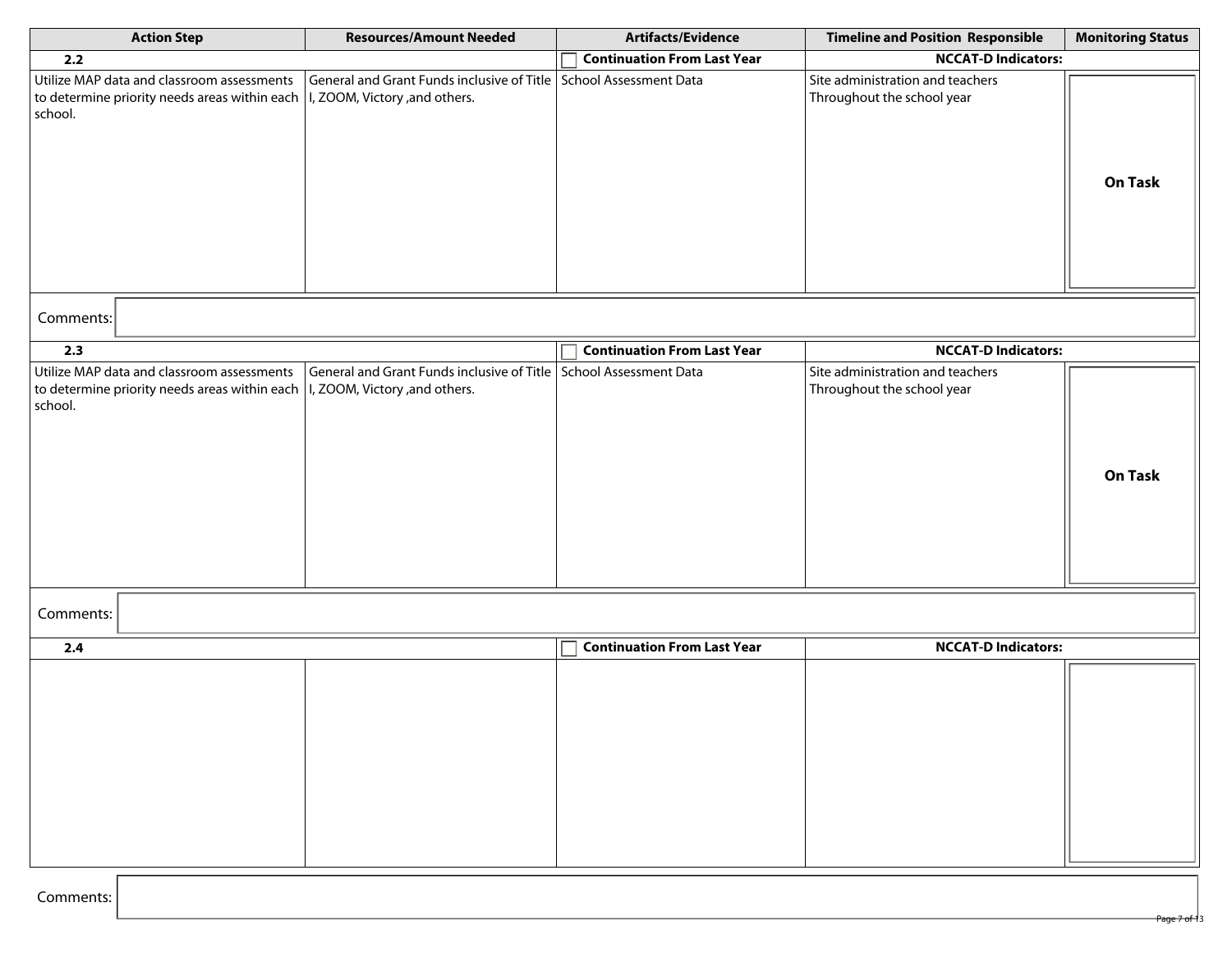| <b>Action Step</b>                                                                                                                       | <b>Resources/Amount Needed</b>                                                                      | Artifacts/Evidence                 | <b>Timeline and Position Responsible</b>                       | <b>Monitoring Status</b> |
|------------------------------------------------------------------------------------------------------------------------------------------|-----------------------------------------------------------------------------------------------------|------------------------------------|----------------------------------------------------------------|--------------------------|
| 2.2                                                                                                                                      |                                                                                                     | <b>Continuation From Last Year</b> | <b>NCCAT-D Indicators:</b>                                     |                          |
| Utilize MAP data and classroom assessments<br>to determine priority needs areas within each<br>school.                                   | General and Grant Funds inclusive of Title School Assessment Data<br>I, ZOOM, Victory , and others. |                                    | Site administration and teachers<br>Throughout the school year | On Task                  |
| Comments:                                                                                                                                |                                                                                                     |                                    |                                                                |                          |
| 2.3                                                                                                                                      |                                                                                                     | <b>Continuation From Last Year</b> | <b>NCCAT-D Indicators:</b>                                     |                          |
| Utilize MAP data and classroom assessments<br>to determine priority needs areas within each $ $ I, ZOOM, Victory, and others.<br>school. | General and Grant Funds inclusive of Title   School Assessment Data                                 |                                    | Site administration and teachers<br>Throughout the school year | <b>On Task</b>           |
| Comments:                                                                                                                                |                                                                                                     |                                    |                                                                |                          |
| 2.4                                                                                                                                      |                                                                                                     | <b>Continuation From Last Year</b> | <b>NCCAT-D Indicators:</b>                                     |                          |
|                                                                                                                                          |                                                                                                     |                                    |                                                                |                          |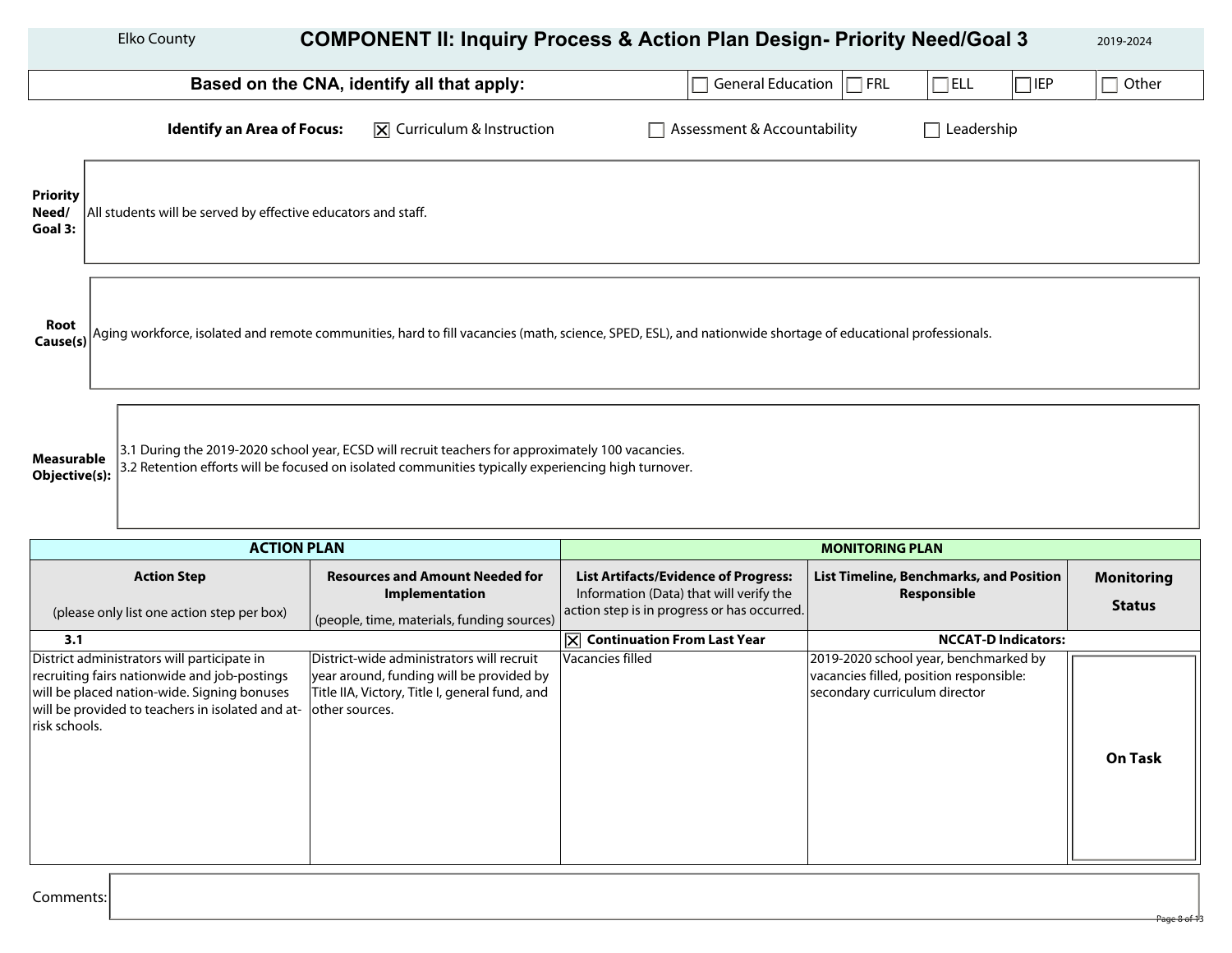|                                     | <b>Elko County</b>                                                                                                                                                                                                                      |                                                          | <b>COMPONENT II: Inquiry Process &amp; Action Plan Design- Priority Need/Goal 3</b>                                                                        |                                                               | 2019-2024         |  |  |
|-------------------------------------|-----------------------------------------------------------------------------------------------------------------------------------------------------------------------------------------------------------------------------------------|----------------------------------------------------------|------------------------------------------------------------------------------------------------------------------------------------------------------------|---------------------------------------------------------------|-------------------|--|--|
|                                     |                                                                                                                                                                                                                                         | Based on the CNA, identify all that apply:               | General Education   FRL                                                                                                                                    | $\Box$ ELL<br>$\Box$ IEP                                      | Г<br>Other        |  |  |
|                                     | <b>Identify an Area of Focus:</b>                                                                                                                                                                                                       | $ \overline{x} $ Curriculum & Instruction                | Assessment & Accountability                                                                                                                                | Leadership<br>$\mathcal{L}$                                   |                   |  |  |
| <b>Priority</b><br>Need/<br>Goal 3: | All students will be served by effective educators and staff.                                                                                                                                                                           |                                                          |                                                                                                                                                            |                                                               |                   |  |  |
| Root<br>Cause(s)                    |                                                                                                                                                                                                                                         |                                                          | Aging workforce, isolated and remote communities, hard to fill vacancies (math, science, SPED, ESL), and nationwide shortage of educational professionals. |                                                               |                   |  |  |
|                                     | 3.1 During the 2019-2020 school year, ECSD will recruit teachers for approximately 100 vacancies.<br>Measurable<br>3.2 Retention efforts will be focused on isolated communities typically experiencing high turnover.<br>Objective(s): |                                                          |                                                                                                                                                            |                                                               |                   |  |  |
|                                     |                                                                                                                                                                                                                                         | <b>ACTION PLAN</b>                                       |                                                                                                                                                            | <b>MONITORING PLAN</b>                                        |                   |  |  |
|                                     | <b>Action Step</b>                                                                                                                                                                                                                      | <b>Resources and Amount Needed for</b><br>Implementation | <b>List Artifacts/Evidence of Progress:</b><br>Information (Data) that will verify the                                                                     | List Timeline, Benchmarks, and Position<br><b>Responsible</b> | <b>Monitoring</b> |  |  |

| <b>ACTION STEP</b>                                              | Resources and Amount Needed for                | List Artifacts/Evidence of Progress:        | List Timeline, Benchmarks, and Position | <b>MONITOring</b> |
|-----------------------------------------------------------------|------------------------------------------------|---------------------------------------------|-----------------------------------------|-------------------|
|                                                                 | <b>Implementation</b>                          | Information (Data) that will verify the     | Responsible                             |                   |
| (please only list one action step per box)                      | (people, time, materials, funding sources)     | action step is in progress or has occurred. |                                         | <b>Status</b>     |
| 3.1                                                             |                                                | <b>Continuation From Last Year</b>          | <b>NCCAT-D Indicators:</b>              |                   |
| District administrators will participate in                     | District-wide administrators will recruit      | Vacancies filled                            | 2019-2020 school year, benchmarked by   |                   |
| recruiting fairs nationwide and job-postings                    | year around, funding will be provided by       |                                             | vacancies filled, position responsible: |                   |
| will be placed nation-wide. Signing bonuses                     | Title IIA, Victory, Title I, general fund, and |                                             | secondary curriculum director           |                   |
| will be provided to teachers in isolated and at- other sources. |                                                |                                             |                                         |                   |
| risk schools.                                                   |                                                |                                             |                                         |                   |
|                                                                 |                                                |                                             |                                         |                   |
|                                                                 |                                                |                                             |                                         | <b>On Task</b>    |
|                                                                 |                                                |                                             |                                         |                   |
|                                                                 |                                                |                                             |                                         |                   |
|                                                                 |                                                |                                             |                                         |                   |
|                                                                 |                                                |                                             |                                         |                   |
|                                                                 |                                                |                                             |                                         |                   |
|                                                                 |                                                |                                             |                                         |                   |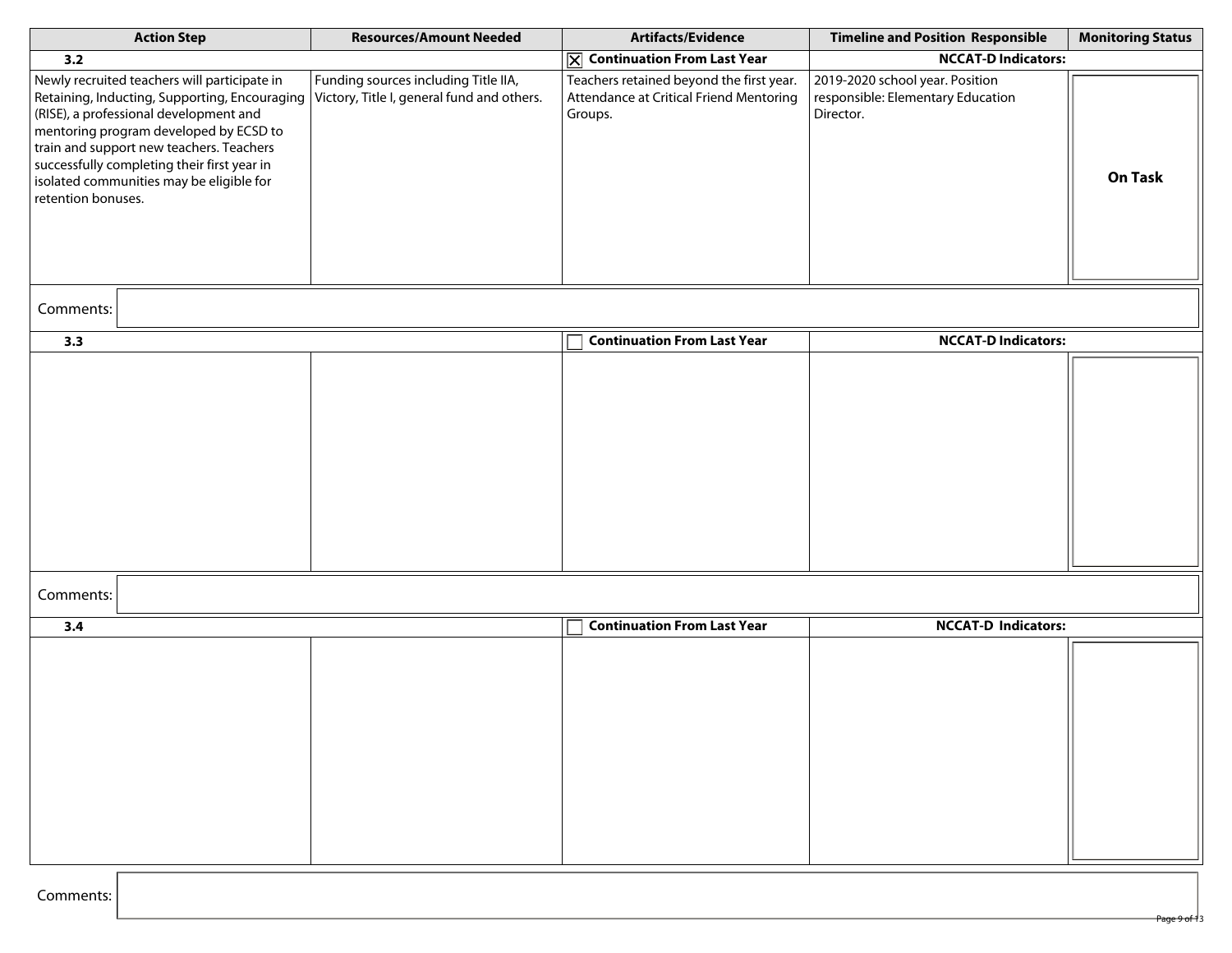| <b>Action Step</b>                                                                                                                                                                                                                                                                                                                             | <b>Resources/Amount Needed</b>                                                     | Artifacts/Evidence                                                                             | <b>Timeline and Position Responsible</b>                                          | <b>Monitoring Status</b> |
|------------------------------------------------------------------------------------------------------------------------------------------------------------------------------------------------------------------------------------------------------------------------------------------------------------------------------------------------|------------------------------------------------------------------------------------|------------------------------------------------------------------------------------------------|-----------------------------------------------------------------------------------|--------------------------|
| 3.2                                                                                                                                                                                                                                                                                                                                            |                                                                                    | $ \overline{\times} $ Continuation From Last Year                                              | <b>NCCAT-D Indicators:</b>                                                        |                          |
| Newly recruited teachers will participate in<br>Retaining, Inducting, Supporting, Encouraging<br>(RISE), a professional development and<br>mentoring program developed by ECSD to<br>train and support new teachers. Teachers<br>successfully completing their first year in<br>isolated communities may be eligible for<br>retention bonuses. | Funding sources including Title IIA,<br>Victory, Title I, general fund and others. | Teachers retained beyond the first year.<br>Attendance at Critical Friend Mentoring<br>Groups. | 2019-2020 school year. Position<br>responsible: Elementary Education<br>Director. | On Task                  |
| Comments:                                                                                                                                                                                                                                                                                                                                      |                                                                                    |                                                                                                |                                                                                   |                          |
| 3.3                                                                                                                                                                                                                                                                                                                                            |                                                                                    | <b>Continuation From Last Year</b>                                                             | <b>NCCAT-D Indicators:</b>                                                        |                          |
|                                                                                                                                                                                                                                                                                                                                                |                                                                                    |                                                                                                |                                                                                   |                          |
| Comments:                                                                                                                                                                                                                                                                                                                                      |                                                                                    |                                                                                                |                                                                                   |                          |
| 3.4                                                                                                                                                                                                                                                                                                                                            |                                                                                    | <b>Continuation From Last Year</b>                                                             | <b>NCCAT-D Indicators:</b>                                                        |                          |
|                                                                                                                                                                                                                                                                                                                                                |                                                                                    |                                                                                                |                                                                                   |                          |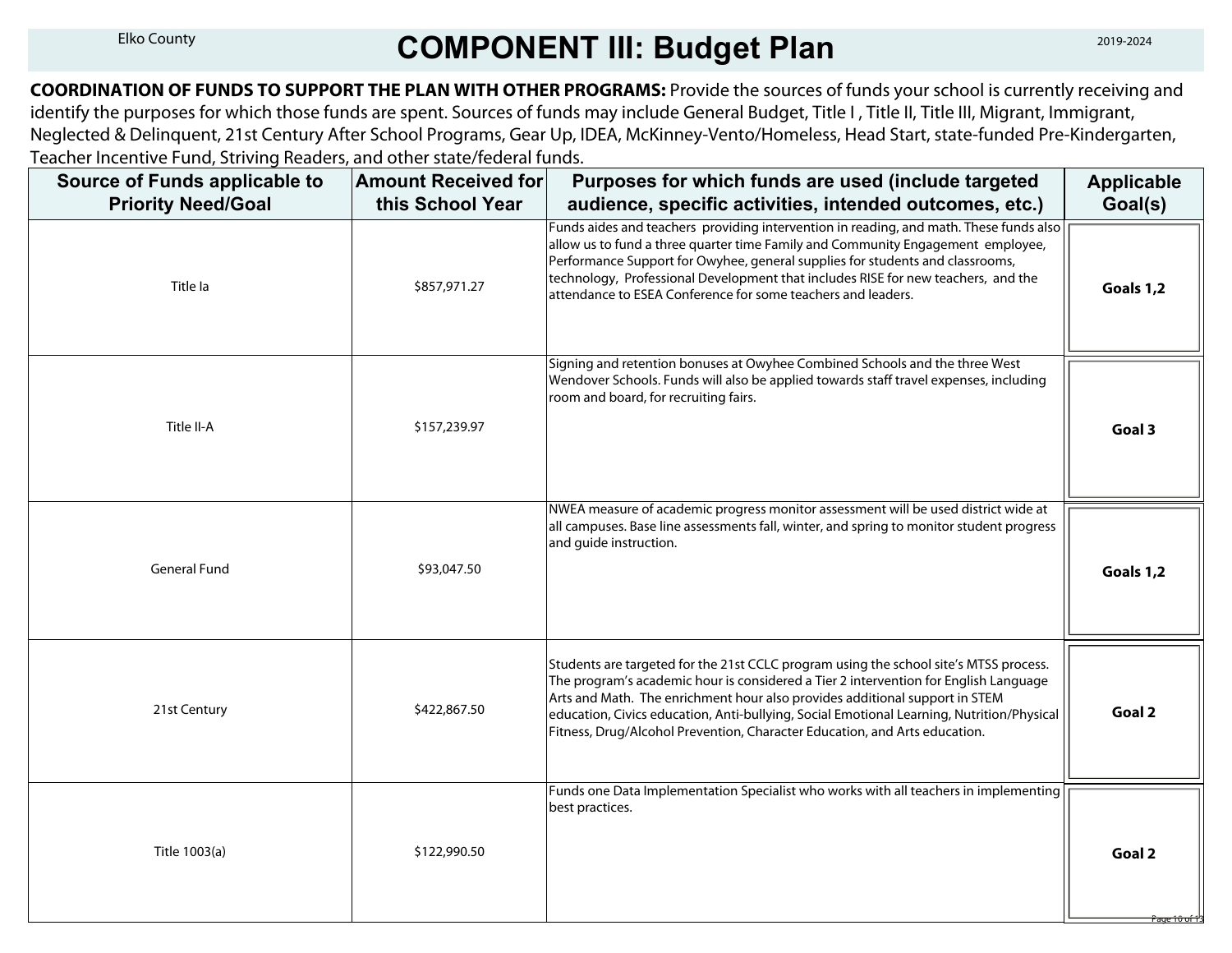## Elko County **COMPONENT III: Budget Plan**

**COORDINATION OF FUNDS TO SUPPORT THE PLAN WITH OTHER PROGRAMS:** Provide the sources of funds your school is currently receiving and identify the purposes for which those funds are spent. Sources of funds may include General Budget, Title I, Title II, Title III, Migrant, Immigrant, Neglected & Delinquent, 21st Century After School Programs, Gear Up, IDEA, McKinney-Vento/Homeless, Head Start, state-funded Pre-Kindergarten, Teacher Incentive Fund, Striving Readers, and other state/federal funds.

| Source of Funds applicable to<br><b>Priority Need/Goal</b> | <b>Amount Received for</b><br>this School Year | Purposes for which funds are used (include targeted<br>audience, specific activities, intended outcomes, etc.)                                                                                                                                                                                                                                                                                                                          | <b>Applicable</b><br>Goal(s)      |
|------------------------------------------------------------|------------------------------------------------|-----------------------------------------------------------------------------------------------------------------------------------------------------------------------------------------------------------------------------------------------------------------------------------------------------------------------------------------------------------------------------------------------------------------------------------------|-----------------------------------|
| Title la                                                   | \$857,971.27                                   | Funds aides and teachers providing intervention in reading, and math. These funds also<br>allow us to fund a three quarter time Family and Community Engagement employee,<br>Performance Support for Owyhee, general supplies for students and classrooms,<br>technology, Professional Development that includes RISE for new teachers, and the<br>attendance to ESEA Conference for some teachers and leaders.                         | Goals 1,2                         |
| Title II-A                                                 | \$157,239.97                                   | Signing and retention bonuses at Owyhee Combined Schools and the three West<br>Wendover Schools. Funds will also be applied towards staff travel expenses, including<br>room and board, for recruiting fairs.                                                                                                                                                                                                                           | Goal 3                            |
| <b>General Fund</b>                                        | \$93,047.50                                    | NWEA measure of academic progress monitor assessment will be used district wide at<br>all campuses. Base line assessments fall, winter, and spring to monitor student progress<br>and guide instruction.                                                                                                                                                                                                                                | Goals 1,2                         |
| 21st Century                                               | \$422,867.50                                   | Students are targeted for the 21st CCLC program using the school site's MTSS process.<br>The program's academic hour is considered a Tier 2 intervention for English Language<br>Arts and Math. The enrichment hour also provides additional support in STEM<br>education, Civics education, Anti-bullying, Social Emotional Learning, Nutrition/Physical<br>Fitness, Drug/Alcohol Prevention, Character Education, and Arts education. | Goal 2                            |
| Title 1003(a)                                              | \$122,990.50                                   | Funds one Data Implementation Specialist who works with all teachers in implementing<br>best practices.                                                                                                                                                                                                                                                                                                                                 | Goal 2<br><del>Page 10 of 1</del> |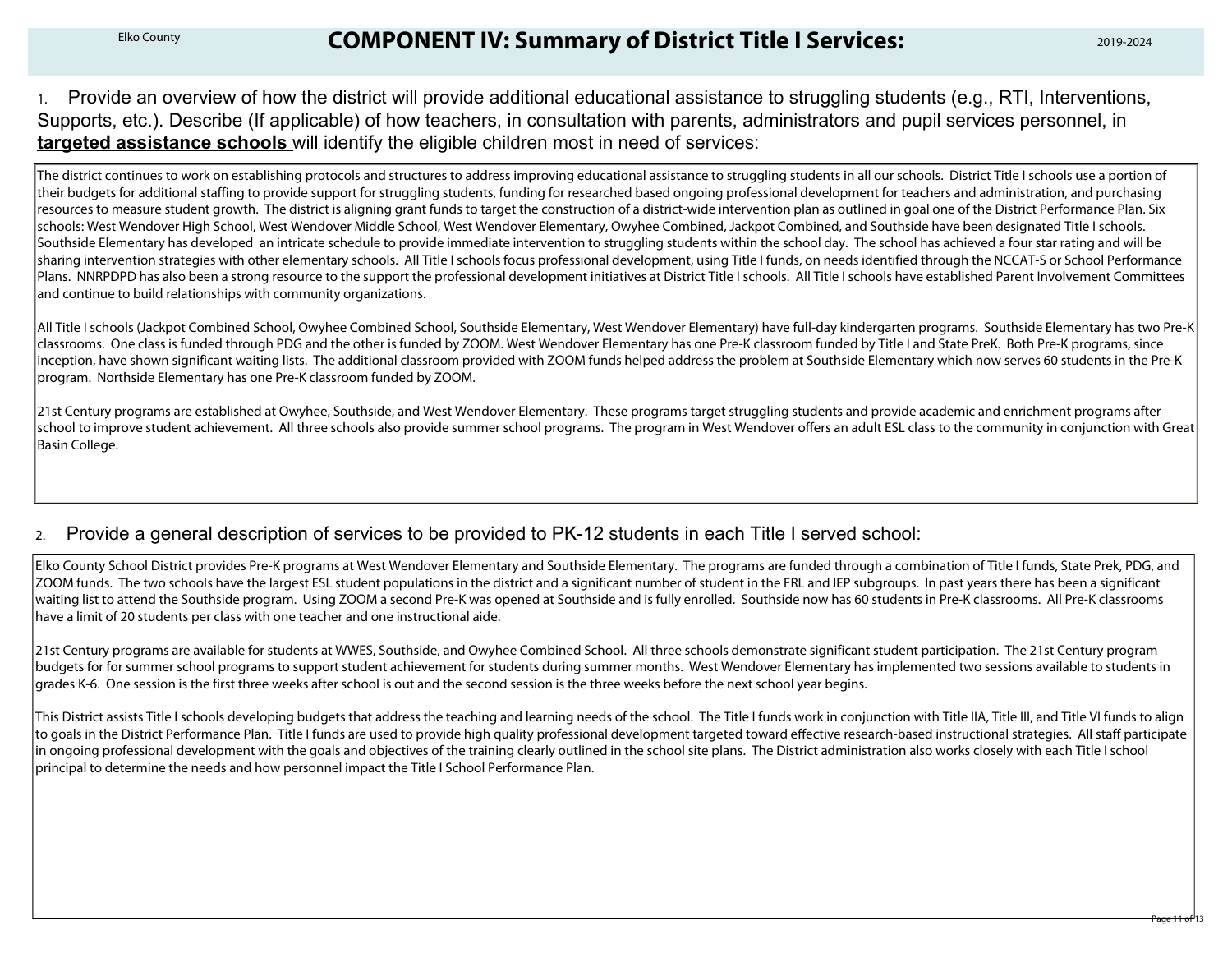### Elko County **COMPONENT IV: Summary of District Title I Services:** 2019-2024

1. Provide an overview of how the district will provide additional educational assistance to struggling students (e.g., RTI, Interventions, Supports, etc.). Describe (If applicable) of how teachers, in consultation with parents, administrators and pupil services personnel, in **targeted assistance schools** will identify the eligible children most in need of services:

The district continues to work on establishing protocols and structures to address improving educational assistance to struggling students in all our schools. District Title I schools use a portion of their budgets for additional staffing to provide support for struggling students, funding for researched based ongoing professional development for teachers and administration, and purchasing resources to measure student growth. The district is aligning grant funds to target the construction of a district-wide intervention plan as outlined in goal one of the District Performance Plan. Six schools: West Wendover High School, West Wendover Middle School, West Wendover Elementary, Owyhee Combined, Jackpot Combined, and Southside have been designated Title I schools. Southside Elementary has developed an intricate schedule to provide immediate intervention to struggling students within the school day. The school has achieved a four star rating and will be sharing intervention strategies with other elementary schools. All Title I schools focus professional development, using Title I funds, on needs identified through the NCCAT-S or School Performance Plans. NNRPDPD has also been a strong resource to the support the professional development initiatives at District Title I schools. All Title I schools have established Parent Involvement Committees and continue to build relationships with community organizations.

All Title I schools (Jackpot Combined School, Owyhee Combined School, Southside Elementary, West Wendover Elementary) have full-day kindergarten programs. Southside Elementary has two Pre-K classrooms. One class is funded through PDG and the other is funded by ZOOM. West Wendover Elementary has one Pre-K classroom funded by Title I and State PreK. Both Pre-K programs, since inception, have shown significant waiting lists. The additional classroom provided with ZOOM funds helped address the problem at Southside Elementary which now serves 60 students in the Pre-K program. Northside Elementary has one Pre-K classroom funded by ZOOM.

21st Century programs are established at Owyhee, Southside, and West Wendover Elementary. These programs target struggling students and provide academic and enrichment programs after school to improve student achievement. All three schools also provide summer school programs. The program in West Wendover offers an adult ESL class to the community in conjunction with Great Basin College.

#### 2. Provide a general description of services to be provided to PK-12 students in each Title I served school:

 Elko County School District provides Pre-K programs at West Wendover Elementary and Southside Elementary. The programs are funded through a combination of Title I funds, State Prek, PDG, and ZOOM funds. The two schools have the largest ESL student populations in the district and a significant number of student in the FRL and IEP subgroups. In past years there has been a significant waiting list to attend the Southside program. Using ZOOM a second Pre-K was opened at Southside and is fully enrolled. Southside now has 60 students in Pre-K classrooms. All Pre-K classrooms have a limit of 20 students per class with one teacher and one instructional aide.

21st Century programs are available for students at WWES, Southside, and Owyhee Combined School. All three schools demonstrate significant student participation. The 21st Century program budgets for for summer school programs to support student achievement for students during summer months. West Wendover Elementary has implemented two sessions available to students in grades K-6. One session is the first three weeks after school is out and the second session is the three weeks before the next school year begins.

This District assists Title I schools developing budgets that address the teaching and learning needs of the school. The Title I funds work in conjunction with Title IIA, Title III, and Title VI funds to align to goals in the District Performance Plan. Title I funds are used to provide high quality professional development targeted toward effective research-based instructional strategies. All staff participate in ongoing professional development with the goals and objectives of the training clearly outlined in the school site plans. The District administration also works closely with each Title I school principal to determine the needs and how personnel impact the Title I School Performance Plan.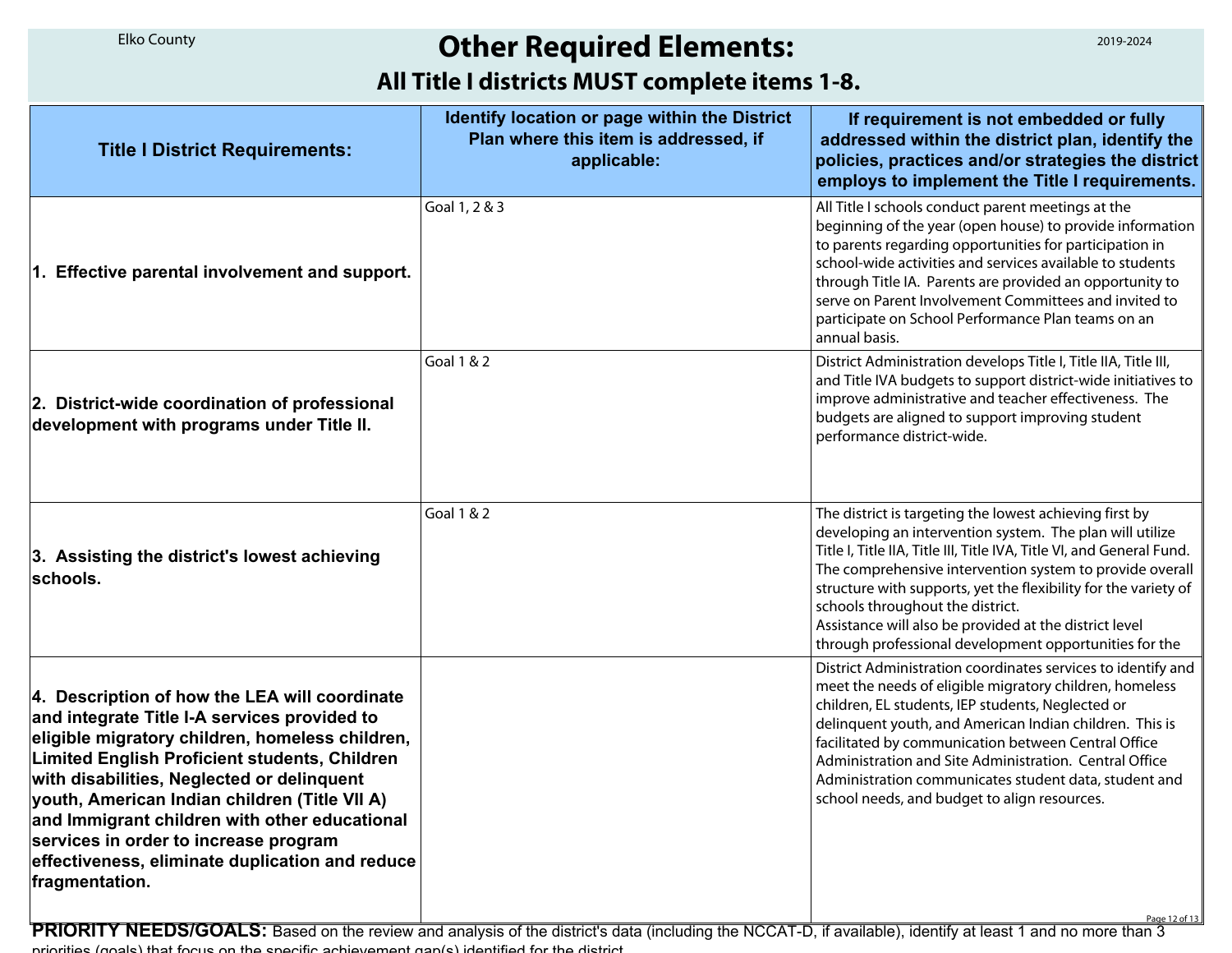## **Other Required Elements:**

### **All Title I districts MUST complete items 1-8.**

| <b>Elko County</b>                                                                                                                                                                                                                                                                                                                                                                                                                                              | <b>Other Required Elements:</b>                                                                       | 2019-2024                                                                                                                                                                                                                                                                                                                                                                                                                                                                           |  |  |  |
|-----------------------------------------------------------------------------------------------------------------------------------------------------------------------------------------------------------------------------------------------------------------------------------------------------------------------------------------------------------------------------------------------------------------------------------------------------------------|-------------------------------------------------------------------------------------------------------|-------------------------------------------------------------------------------------------------------------------------------------------------------------------------------------------------------------------------------------------------------------------------------------------------------------------------------------------------------------------------------------------------------------------------------------------------------------------------------------|--|--|--|
| All Title I districts MUST complete items 1-8.                                                                                                                                                                                                                                                                                                                                                                                                                  |                                                                                                       |                                                                                                                                                                                                                                                                                                                                                                                                                                                                                     |  |  |  |
| <b>Title I District Requirements:</b>                                                                                                                                                                                                                                                                                                                                                                                                                           | Identify location or page within the District<br>Plan where this item is addressed, if<br>applicable: | If requirement is not embedded or fully<br>addressed within the district plan, identify the<br>policies, practices and/or strategies the district<br>employs to implement the Title I requirements.                                                                                                                                                                                                                                                                                 |  |  |  |
| 1. Effective parental involvement and support.                                                                                                                                                                                                                                                                                                                                                                                                                  | Goal 1, 2 & 3                                                                                         | All Title I schools conduct parent meetings at the<br>beginning of the year (open house) to provide information<br>to parents regarding opportunities for participation in<br>school-wide activities and services available to students<br>through Title IA. Parents are provided an opportunity to<br>serve on Parent Involvement Committees and invited to<br>participate on School Performance Plan teams on an<br>annual basis.                                                 |  |  |  |
| 2. District-wide coordination of professional<br>development with programs under Title II.                                                                                                                                                                                                                                                                                                                                                                      | Goal 1 & 2                                                                                            | District Administration develops Title I, Title IIA, Title III,<br>and Title IVA budgets to support district-wide initiatives to<br>improve administrative and teacher effectiveness. The<br>budgets are aligned to support improving student<br>performance district-wide.                                                                                                                                                                                                         |  |  |  |
| 3. Assisting the district's lowest achieving<br>schools.                                                                                                                                                                                                                                                                                                                                                                                                        | Goal 1 & 2                                                                                            | The district is targeting the lowest achieving first by<br>developing an intervention system. The plan will utilize<br>Title I, Title IIA, Title III, Title IVA, Title VI, and General Fund.<br>The comprehensive intervention system to provide overall<br>structure with supports, yet the flexibility for the variety of<br>schools throughout the district.<br>Assistance will also be provided at the district level<br>through professional development opportunities for the |  |  |  |
| 4. Description of how the LEA will coordinate<br>and integrate Title I-A services provided to<br>eligible migratory children, homeless children,<br>Limited English Proficient students, Children<br>with disabilities, Neglected or delinquent<br>youth, American Indian children (Title VII A)<br>and Immigrant children with other educational<br>services in order to increase program<br>effectiveness, eliminate duplication and reduce<br>fragmentation. |                                                                                                       | District Administration coordinates services to identify and<br>meet the needs of eligible migratory children, homeless<br>children, EL students, IEP students, Neglected or<br>delinquent youth, and American Indian children. This is<br>facilitated by communication between Central Office<br>Administration and Site Administration. Central Office<br>Administration communicates student data, student and<br>school needs, and budget to align resources.                   |  |  |  |
| <b>PRIORITY NEEDS/GOALS:</b> Based on the review and analysis of the district's data (including the NCCAT-D, if available), identify at least 1 and no more than 3<br>priorities (apals) that focus on the specific achievement aga(s) identified for the district                                                                                                                                                                                              |                                                                                                       | Page 12 of 13                                                                                                                                                                                                                                                                                                                                                                                                                                                                       |  |  |  |